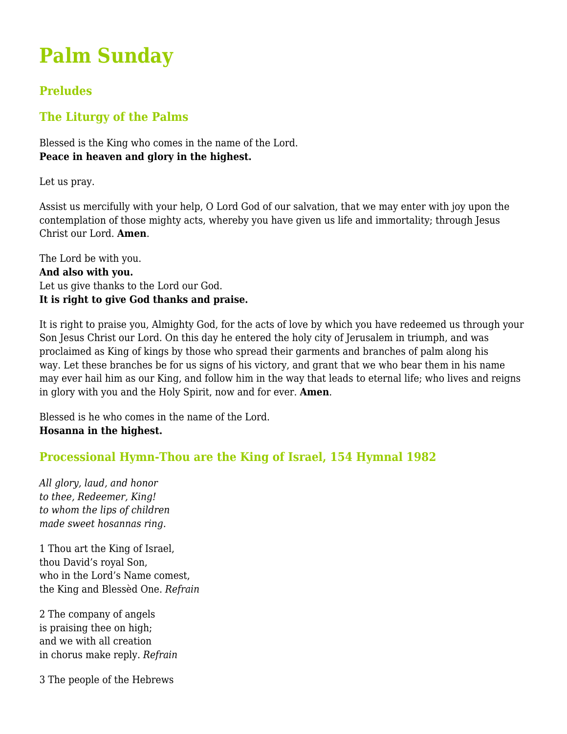# **Palm Sunday**

# **Preludes**

# **The Liturgy of the Palms**

Blessed is the King who comes in the name of the Lord. **Peace in heaven and glory in the highest.**

Let us pray.

Assist us mercifully with your help, O Lord God of our salvation, that we may enter with joy upon the contemplation of those mighty acts, whereby you have given us life and immortality; through Jesus Christ our Lord. **Amen**.

The Lord be with you. **And also with you.** Let us give thanks to the Lord our God. **It is right to give God thanks and praise.**

It is right to praise you, Almighty God, for the acts of love by which you have redeemed us through your Son Jesus Christ our Lord. On this day he entered the holy city of Jerusalem in triumph, and was proclaimed as King of kings by those who spread their garments and branches of palm along his way. Let these branches be for us signs of his victory, and grant that we who bear them in his name may ever hail him as our King, and follow him in the way that leads to eternal life; who lives and reigns in glory with you and the Holy Spirit, now and for ever. **Amen**.

Blessed is he who comes in the name of the Lord. **Hosanna in the highest.**

# **Processional Hymn-Thou are the King of Israel, 154 Hymnal 1982**

*All glory, laud, and honor to thee, Redeemer, King! to whom the lips of children made sweet hosannas ring.*

1 Thou art the King of Israel, thou David's royal Son, who in the Lord's Name comest, the King and Blessèd One. *Refrain*

2 The company of angels is praising thee on high; and we with all creation in chorus make reply. *Refrain*

3 The people of the Hebrews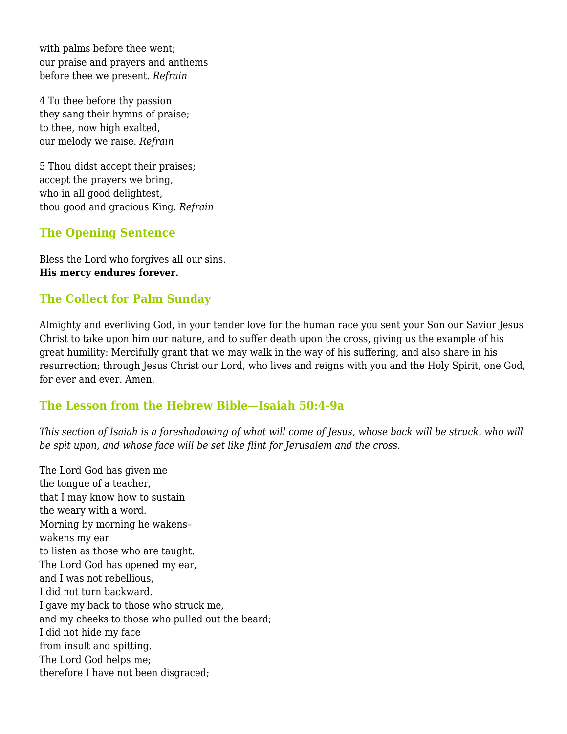with palms before thee went; our praise and prayers and anthems before thee we present. *Refrain*

4 To thee before thy passion they sang their hymns of praise; to thee, now high exalted, our melody we raise. *Refrain*

5 Thou didst accept their praises; accept the prayers we bring, who in all good delightest, thou good and gracious King. *Refrain*

# **The Opening Sentence**

Bless the Lord who forgives all our sins. **His mercy endures forever.**

# **The Collect for Palm Sunday**

Almighty and everliving God, in your tender love for the human race you sent your Son our Savior Jesus Christ to take upon him our nature, and to suffer death upon the cross, giving us the example of his great humility: Mercifully grant that we may walk in the way of his suffering, and also share in his resurrection; through Jesus Christ our Lord, who lives and reigns with you and the Holy Spirit, one God, for ever and ever. Amen.

# **The Lesson from the Hebrew Bible—Isaiah 50:4-9a**

*This section of Isaiah is a foreshadowing of what will come of Jesus, whose back will be struck, who will be spit upon, and whose face will be set like flint for Jerusalem and the cross.*

The Lord God has given me the tongue of a teacher, that I may know how to sustain the weary with a word. Morning by morning he wakens– wakens my ear to listen as those who are taught. The Lord God has opened my ear, and I was not rebellious, I did not turn backward. I gave my back to those who struck me, and my cheeks to those who pulled out the beard; I did not hide my face from insult and spitting. The Lord God helps me; therefore I have not been disgraced;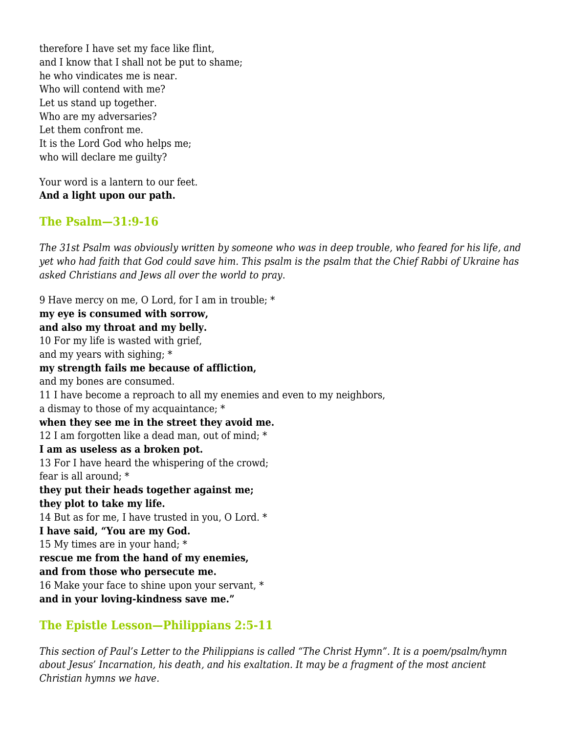therefore I have set my face like flint, and I know that I shall not be put to shame; he who vindicates me is near. Who will contend with me? Let us stand up together. Who are my adversaries? Let them confront me. It is the Lord God who helps me; who will declare me guilty?

Your word is a lantern to our feet. **And a light upon our path.**

## **The Psalm—31:9-16**

*The 31st Psalm was obviously written by someone who was in deep trouble, who feared for his life, and yet who had faith that God could save him. This psalm is the psalm that the Chief Rabbi of Ukraine has asked Christians and Jews all over the world to pray*.

9 Have mercy on me, O Lord, for I am in trouble; \* **my eye is consumed with sorrow, and also my throat and my belly.** 10 For my life is wasted with grief, and my years with sighing; \* **my strength fails me because of affliction,** and my bones are consumed. 11 I have become a reproach to all my enemies and even to my neighbors, a dismay to those of my acquaintance; \* **when they see me in the street they avoid me.** 12 I am forgotten like a dead man, out of mind; \* **I am as useless as a broken pot.** 13 For I have heard the whispering of the crowd; fear is all around; \* **they put their heads together against me; they plot to take my life.** 14 But as for me, I have trusted in you, O Lord. \* **I have said, "You are my God.** 15 My times are in your hand; \* **rescue me from the hand of my enemies, and from those who persecute me.** 16 Make your face to shine upon your servant, \* **and in your loving-kindness save me."**

# **The Epistle Lesson—Philippians 2:5-11**

*This section of Paul's Letter to the Philippians is called "The Christ Hymn". It is a poem/psalm/hymn about Jesus' Incarnation, his death, and his exaltation. It may be a fragment of the most ancient Christian hymns we have.*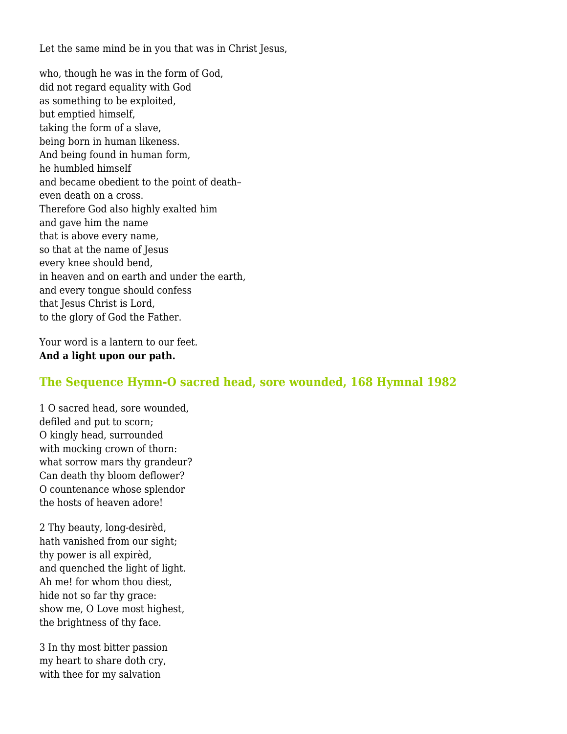Let the same mind be in you that was in Christ Jesus,

who, though he was in the form of God, did not regard equality with God as something to be exploited, but emptied himself, taking the form of a slave, being born in human likeness. And being found in human form, he humbled himself and became obedient to the point of death– even death on a cross. Therefore God also highly exalted him and gave him the name that is above every name, so that at the name of Jesus every knee should bend, in heaven and on earth and under the earth, and every tongue should confess that Jesus Christ is Lord, to the glory of God the Father.

Your word is a lantern to our feet. **And a light upon our path.**

# **The Sequence Hymn-O sacred head, sore wounded, 168 Hymnal 1982**

1 O sacred head, sore wounded, defiled and put to scorn; O kingly head, surrounded with mocking crown of thorn: what sorrow mars thy grandeur? Can death thy bloom deflower? O countenance whose splendor the hosts of heaven adore!

2 Thy beauty, long-desirèd, hath vanished from our sight; thy power is all expirèd, and quenched the light of light. Ah me! for whom thou diest, hide not so far thy grace: show me, O Love most highest, the brightness of thy face.

3 In thy most bitter passion my heart to share doth cry, with thee for my salvation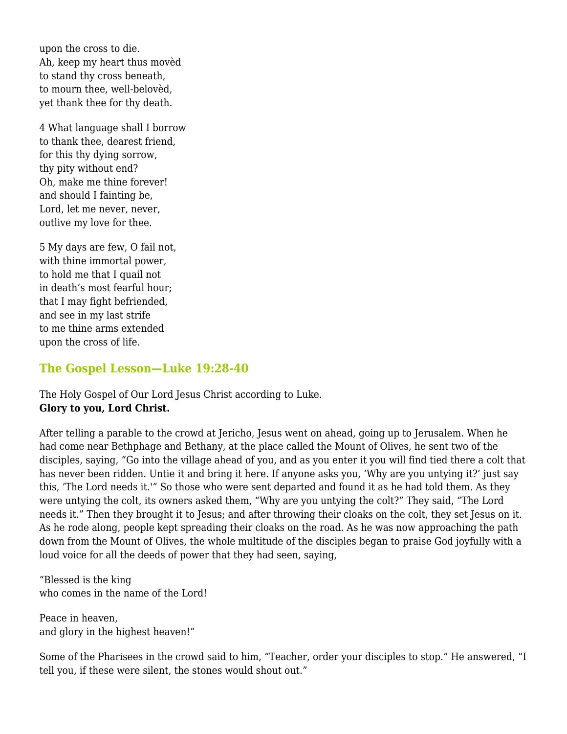upon the cross to die. Ah, keep my heart thus movèd to stand thy cross beneath, to mourn thee, well-belovèd, yet thank thee for thy death.

4 What language shall I borrow to thank thee, dearest friend, for this thy dying sorrow, thy pity without end? Oh, make me thine forever! and should I fainting be, Lord, let me never, never, outlive my love for thee.

5 My days are few, O fail not, with thine immortal power, to hold me that I quail not in death's most fearful hour; that I may fight befriended, and see in my last strife to me thine arms extended upon the cross of life.

# **The Gospel Lesson—Luke 19:28-40**

The Holy Gospel of Our Lord Jesus Christ according to Luke. **Glory to you, Lord Christ.**

After telling a parable to the crowd at Jericho, Jesus went on ahead, going up to Jerusalem. When he had come near Bethphage and Bethany, at the place called the Mount of Olives, he sent two of the disciples, saying, "Go into the village ahead of you, and as you enter it you will find tied there a colt that has never been ridden. Untie it and bring it here. If anyone asks you, 'Why are you untying it?' just say this, 'The Lord needs it.'" So those who were sent departed and found it as he had told them. As they were untying the colt, its owners asked them, "Why are you untying the colt?" They said, "The Lord needs it." Then they brought it to Jesus; and after throwing their cloaks on the colt, they set Jesus on it. As he rode along, people kept spreading their cloaks on the road. As he was now approaching the path down from the Mount of Olives, the whole multitude of the disciples began to praise God joyfully with a loud voice for all the deeds of power that they had seen, saying,

"Blessed is the king who comes in the name of the Lord!

Peace in heaven, and glory in the highest heaven!"

Some of the Pharisees in the crowd said to him, "Teacher, order your disciples to stop." He answered, "I tell you, if these were silent, the stones would shout out."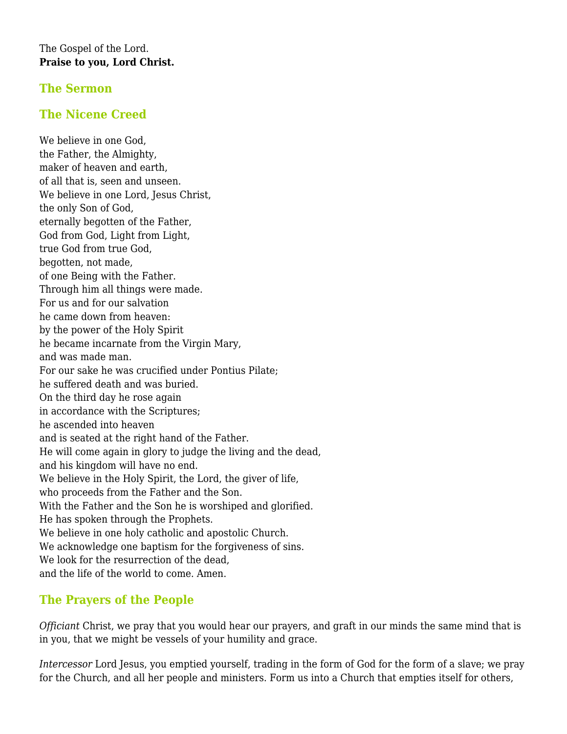#### The Gospel of the Lord. **Praise to you, Lord Christ.**

# **The Sermon**

# **The Nicene Creed**

We believe in one God, the Father, the Almighty, maker of heaven and earth, of all that is, seen and unseen. We believe in one Lord, Jesus Christ, the only Son of God, eternally begotten of the Father, God from God, Light from Light, true God from true God, begotten, not made, of one Being with the Father. Through him all things were made. For us and for our salvation he came down from heaven: by the power of the Holy Spirit he became incarnate from the Virgin Mary, and was made man. For our sake he was crucified under Pontius Pilate; he suffered death and was buried. On the third day he rose again in accordance with the Scriptures; he ascended into heaven and is seated at the right hand of the Father. He will come again in glory to judge the living and the dead, and his kingdom will have no end. We believe in the Holy Spirit, the Lord, the giver of life, who proceeds from the Father and the Son. With the Father and the Son he is worshiped and glorified. He has spoken through the Prophets. We believe in one holy catholic and apostolic Church. We acknowledge one baptism for the forgiveness of sins. We look for the resurrection of the dead, and the life of the world to come. Amen.

# **The Prayers of the People**

*Officiant* Christ, we pray that you would hear our prayers, and graft in our minds the same mind that is in you, that we might be vessels of your humility and grace.

*Intercessor* Lord Jesus, you emptied yourself, trading in the form of God for the form of a slave; we pray for the Church, and all her people and ministers. Form us into a Church that empties itself for others,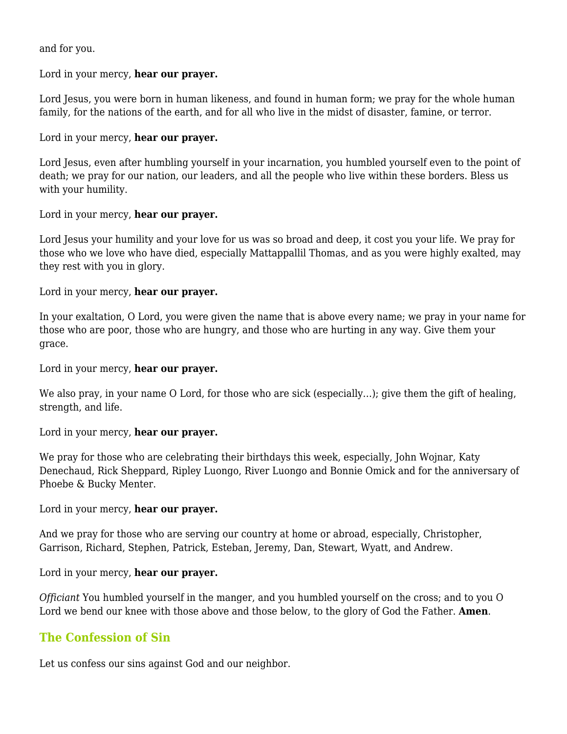and for you.

#### Lord in your mercy, **hear our prayer.**

Lord Jesus, you were born in human likeness, and found in human form; we pray for the whole human family, for the nations of the earth, and for all who live in the midst of disaster, famine, or terror.

#### Lord in your mercy, **hear our prayer.**

Lord Jesus, even after humbling yourself in your incarnation, you humbled yourself even to the point of death; we pray for our nation, our leaders, and all the people who live within these borders. Bless us with your humility.

#### Lord in your mercy, **hear our prayer.**

Lord Jesus your humility and your love for us was so broad and deep, it cost you your life. We pray for those who we love who have died, especially Mattappallil Thomas, and as you were highly exalted, may they rest with you in glory.

#### Lord in your mercy, **hear our prayer.**

In your exaltation, O Lord, you were given the name that is above every name; we pray in your name for those who are poor, those who are hungry, and those who are hurting in any way. Give them your grace.

Lord in your mercy, **hear our prayer.**

We also pray, in your name O Lord, for those who are sick (especially...); give them the gift of healing, strength, and life.

#### Lord in your mercy, **hear our prayer.**

We pray for those who are celebrating their birthdays this week, especially, John Wojnar, Katy Denechaud, Rick Sheppard, Ripley Luongo, River Luongo and Bonnie Omick and for the anniversary of Phoebe & Bucky Menter.

Lord in your mercy, **hear our prayer.**

And we pray for those who are serving our country at home or abroad, especially, Christopher, Garrison, Richard, Stephen, Patrick, Esteban, Jeremy, Dan, Stewart, Wyatt, and Andrew.

#### Lord in your mercy, **hear our prayer.**

*Officiant* You humbled yourself in the manger, and you humbled yourself on the cross; and to you O Lord we bend our knee with those above and those below, to the glory of God the Father. **Amen**.

# **The Confession of Sin**

Let us confess our sins against God and our neighbor.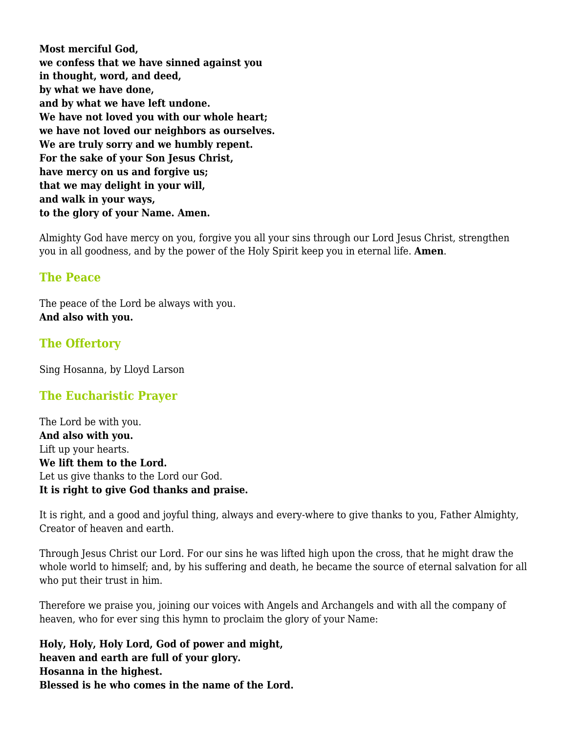**Most merciful God, we confess that we have sinned against you in thought, word, and deed, by what we have done, and by what we have left undone. We have not loved you with our whole heart; we have not loved our neighbors as ourselves. We are truly sorry and we humbly repent. For the sake of your Son Jesus Christ, have mercy on us and forgive us; that we may delight in your will, and walk in your ways, to the glory of your Name. Amen.**

Almighty God have mercy on you, forgive you all your sins through our Lord Jesus Christ, strengthen you in all goodness, and by the power of the Holy Spirit keep you in eternal life. **Amen**.

# **The Peace**

The peace of the Lord be always with you. **And also with you.**

# **The Offertory**

Sing Hosanna, by Lloyd Larson

# **The Eucharistic Prayer**

The Lord be with you. **And also with you.** Lift up your hearts. **We lift them to the Lord.** Let us give thanks to the Lord our God. **It is right to give God thanks and praise.**

It is right, and a good and joyful thing, always and every-where to give thanks to you, Father Almighty, Creator of heaven and earth.

Through Jesus Christ our Lord. For our sins he was lifted high upon the cross, that he might draw the whole world to himself; and, by his suffering and death, he became the source of eternal salvation for all who put their trust in him.

Therefore we praise you, joining our voices with Angels and Archangels and with all the company of heaven, who for ever sing this hymn to proclaim the glory of your Name:

**Holy, Holy, Holy Lord, God of power and might, heaven and earth are full of your glory. Hosanna in the highest. Blessed is he who comes in the name of the Lord.**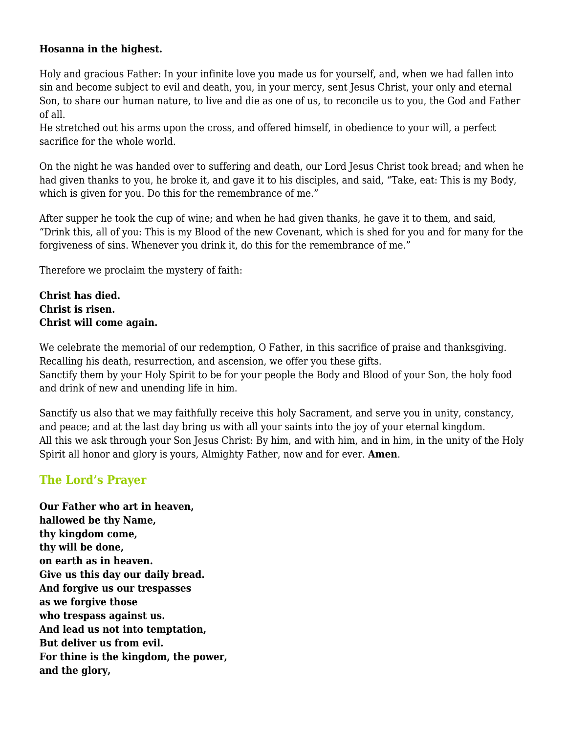#### **Hosanna in the highest.**

Holy and gracious Father: In your infinite love you made us for yourself, and, when we had fallen into sin and become subject to evil and death, you, in your mercy, sent Jesus Christ, your only and eternal Son, to share our human nature, to live and die as one of us, to reconcile us to you, the God and Father of all.

He stretched out his arms upon the cross, and offered himself, in obedience to your will, a perfect sacrifice for the whole world.

On the night he was handed over to suffering and death, our Lord Jesus Christ took bread; and when he had given thanks to you, he broke it, and gave it to his disciples, and said, "Take, eat: This is my Body, which is given for you. Do this for the remembrance of me."

After supper he took the cup of wine; and when he had given thanks, he gave it to them, and said, "Drink this, all of you: This is my Blood of the new Covenant, which is shed for you and for many for the forgiveness of sins. Whenever you drink it, do this for the remembrance of me."

Therefore we proclaim the mystery of faith:

**Christ has died. Christ is risen. Christ will come again.**

We celebrate the memorial of our redemption, O Father, in this sacrifice of praise and thanksgiving. Recalling his death, resurrection, and ascension, we offer you these gifts. Sanctify them by your Holy Spirit to be for your people the Body and Blood of your Son, the holy food and drink of new and unending life in him.

Sanctify us also that we may faithfully receive this holy Sacrament, and serve you in unity, constancy, and peace; and at the last day bring us with all your saints into the joy of your eternal kingdom. All this we ask through your Son Jesus Christ: By him, and with him, and in him, in the unity of the Holy Spirit all honor and glory is yours, Almighty Father, now and for ever. **Amen**.

# **The Lord's Prayer**

**Our Father who art in heaven, hallowed be thy Name, thy kingdom come, thy will be done, on earth as in heaven. Give us this day our daily bread. And forgive us our trespasses as we forgive those who trespass against us. And lead us not into temptation, But deliver us from evil. For thine is the kingdom, the power, and the glory,**